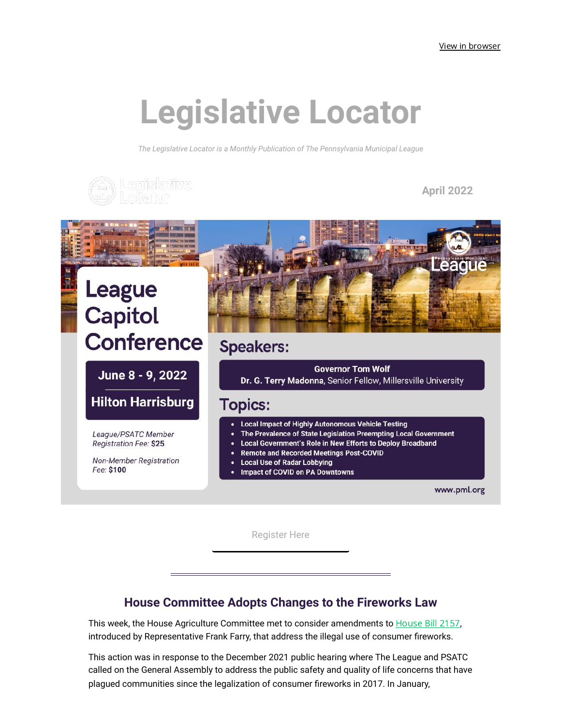# **Legislative Locator**

*The Legislative Locator is a Monthly Publication of The Pennsylvania Municipal League*



**April 2022**



[Register](https://click.mailerlite.com/link/c/YT0xOTM5MjA4NjUzMTg1NzUwMTA5JmM9eDh4MSZiPTk2MzEwOTcwMCZkPWkzbjNrN2E=.OJvZ-imavaL-vm8AqUxgBwsJN2dGdpRTi-7cd7s_13o) Here

### **House Committee Adopts Changes to the Fireworks Law**

This week, the [House](https://click.mailerlite.com/link/c/YT0xOTM5MjA4NjUzMTg1NzUwMTA5JmM9eDh4MSZiPTk2MzEwOTcwMSZkPXM5YjFrMnQ=.lBfd-nuOJ0Z3YIsjG188C1X8awSdsMaSMd4M97vD2uo) Agriculture Committee met to consider amendments to **House Bill 2157**, introduced by Representative Frank Farry, that address the illegal use of consumer fireworks.

This action was in response to the December 2021 public hearing where The League and PSATC called on the General Assembly to address the public safety and quality of life concerns that have plagued communities since the legalization of consumer fireworks in 2017. In January,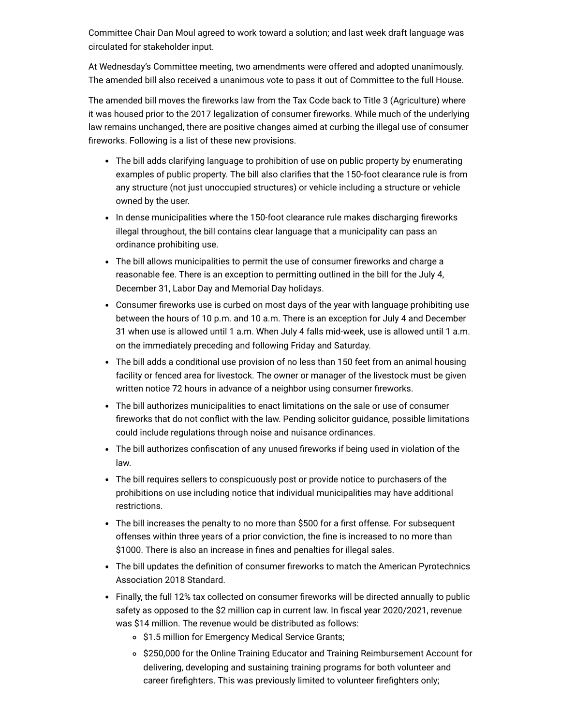Committee Chair Dan Moul agreed to work toward a solution; and last week draft language was circulated for stakeholder input.

At Wednesday's Committee meeting, two amendments were offered and adopted unanimously. The amended bill also received a unanimous vote to pass it out of Committee to the full House.

The amended bill moves the fireworks law from the Tax Code back to Title 3 (Agriculture) where it was housed prior to the 2017 legalization of consumer fireworks. While much of the underlying law remains unchanged, there are positive changes aimed at curbing the illegal use of consumer fireworks. Following is a list of these new provisions.

- The bill adds clarifying language to prohibition of use on public property by enumerating examples of public property. The bill also clarifies that the 150-foot clearance rule is from any structure (not just unoccupied structures) or vehicle including a structure or vehicle owned by the user.
- In dense municipalities where the 150-foot clearance rule makes discharging fireworks illegal throughout, the bill contains clear language that a municipality can pass an ordinance prohibiting use.
- The bill allows municipalities to permit the use of consumer fireworks and charge a reasonable fee. There is an exception to permitting outlined in the bill for the July 4, December 31, Labor Day and Memorial Day holidays.
- Consumer fireworks use is curbed on most days of the year with language prohibiting use between the hours of 10 p.m. and 10 a.m. There is an exception for July 4 and December 31 when use is allowed until 1 a.m. When July 4 falls mid-week, use is allowed until 1 a.m. on the immediately preceding and following Friday and Saturday.
- The bill adds a conditional use provision of no less than 150 feet from an animal housing facility or fenced area for livestock. The owner or manager of the livestock must be given written notice 72 hours in advance of a neighbor using consumer fireworks.
- The bill authorizes municipalities to enact limitations on the sale or use of consumer fireworks that do not conflict with the law. Pending solicitor guidance, possible limitations could include regulations through noise and nuisance ordinances.
- The bill authorizes confiscation of any unused fireworks if being used in violation of the law.
- The bill requires sellers to conspicuously post or provide notice to purchasers of the prohibitions on use including notice that individual municipalities may have additional restrictions.
- The bill increases the penalty to no more than \$500 for a first offense. For subsequent offenses within three years of a prior conviction, the fine is increased to no more than \$1000. There is also an increase in fines and penalties for illegal sales.
- The bill updates the definition of consumer fireworks to match the American Pyrotechnics Association 2018 Standard.
- Finally, the full 12% tax collected on consumer fireworks will be directed annually to public safety as opposed to the \$2 million cap in current law. In fiscal year 2020/2021, revenue was \$14 million. The revenue would be distributed as follows:
	- \$1.5 million for Emergency Medical Service Grants;
	- o \$250,000 for the Online Training Educator and Training Reimbursement Account for delivering, developing and sustaining training programs for both volunteer and career firefighters. This was previously limited to volunteer firefighters only;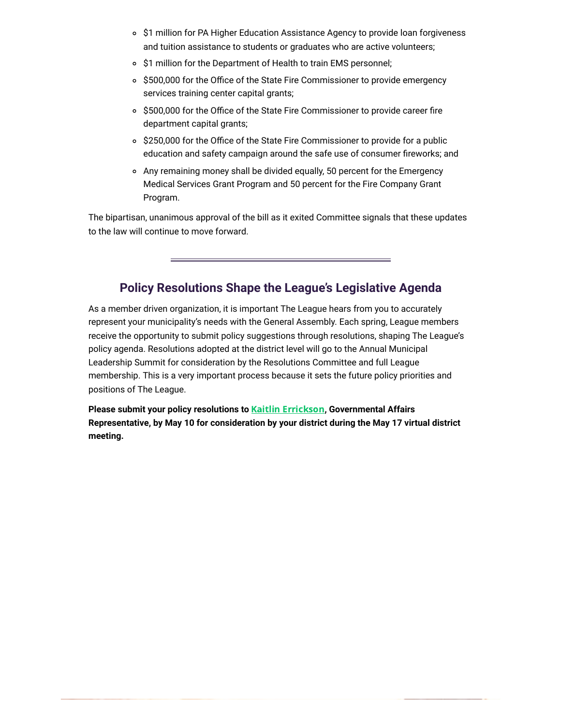- \$1 million for PA Higher Education Assistance Agency to provide loan forgiveness and tuition assistance to students or graduates who are active volunteers;
- o \$1 million for the Department of Health to train EMS personnel;
- \$500,000 for the Office of the State Fire Commissioner to provide emergency services training center capital grants;
- \$500,000 for the Office of the State Fire Commissioner to provide career fire department capital grants;
- \$250,000 for the Office of the State Fire Commissioner to provide for a public education and safety campaign around the safe use of consumer fireworks; and
- Any remaining money shall be divided equally, 50 percent for the Emergency Medical Services Grant Program and 50 percent for the Fire Company Grant Program.

The bipartisan, unanimous approval of the bill as it exited Committee signals that these updates to the law will continue to move forward.

## **Policy Resolutions Shape the League's Legislative Agenda**

As a member driven organization, it is important The League hears from you to accurately represent your municipality's needs with the General Assembly. Each spring, League members receive the opportunity to submit policy suggestions through resolutions, shaping The League's policy agenda. Resolutions adopted at the district level will go to the Annual Municipal Leadership Summit for consideration by the Resolutions Committee and full League membership. This is a very important process because it sets the future policy priorities and positions of The League.

**Please submit your policy resolutions to** Kaitlin [Errickson](mailto:kerrickson@pml.org)**, Governmental Affairs Representative, by May 10 for consideration by your district during the May 17 virtual district meeting.**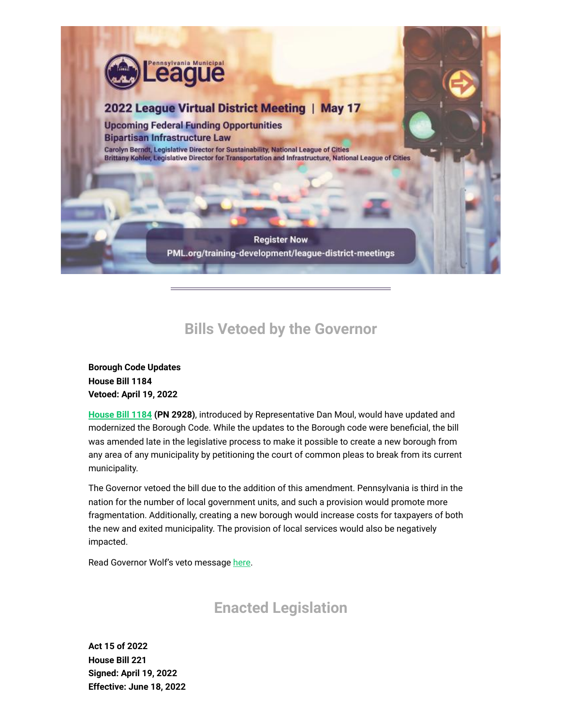

# **Bills Vetoed by the Governor**

**Borough Code Updates House Bill 1184 Vetoed: April 19, 2022**

**[House](https://click.mailerlite.com/link/c/YT0xOTM5MjA4NjUzMTg1NzUwMTA5JmM9eDh4MSZiPTk2MzEwOTcwMyZkPXQ1djhvNmI=.5uZ1EZEWs4HpmhND1tosLv9vmeflNu44x4NGnGwmes4) Bill 1184 (PN 2928)**, introduced by Representative Dan Moul, would have updated and modernized the Borough Code. While the updates to the Borough code were beneficial, the bill was amended late in the legislative process to make it possible to create a new borough from any area of any municipality by petitioning the court of common pleas to break from its current municipality.

The Governor vetoed the bill due to the addition of this amendment. Pennsylvania is third in the nation for the number of local government units, and such a provision would promote more fragmentation. Additionally, creating a new borough would increase costs for taxpayers of both the new and exited municipality. The provision of local services would also be negatively impacted.

Read Governor Wolf's veto message [here.](https://click.mailerlite.com/link/c/YT0xOTM5MjA4NjUzMTg1NzUwMTA5JmM9eDh4MSZiPTk2MzEwOTcwNCZkPWI0aDZjMGI=._U4UyLmmhKRyiZlF_0mrf2ZcG4Mm_Vmb0NBYJGERFWw)

## **Enacted Legislation**

**Act 15 of 2022 House Bill 221 Signed: April 19, 2022 Effective: June 18, 2022**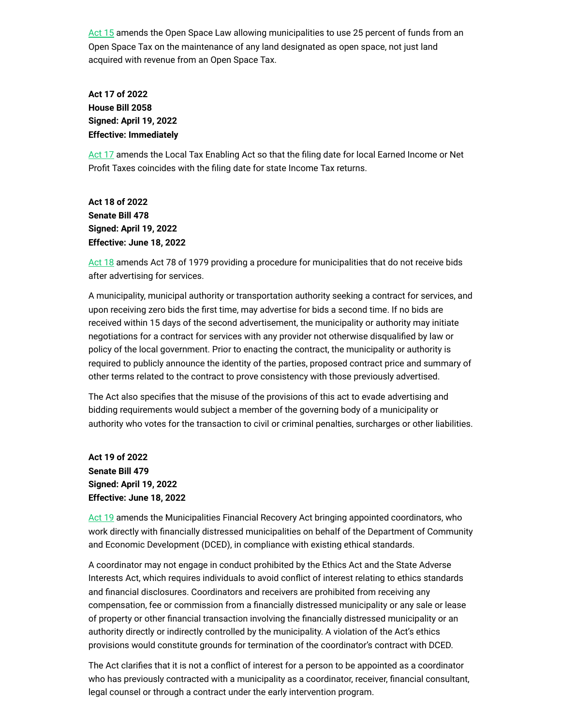[Act](https://click.mailerlite.com/link/c/YT0xOTM5MjA4NjUzMTg1NzUwMTA5JmM9eDh4MSZiPTk2MzEwOTcwNSZkPXcxaTd3MGo=.-7dqY-eYSfR2WaRm4LhMIDdPWL_PmUnMZq8S-sjE_3I) 15 amends the Open Space Law allowing municipalities to use 25 percent of funds from an Open Space Tax on the maintenance of any land designated as open space, not just land acquired with revenue from an Open Space Tax.

**Act 17 of 2022 House Bill 2058 Signed: April 19, 2022 Effective: Immediately**

[Act](https://click.mailerlite.com/link/c/YT0xOTM5MjA4NjUzMTg1NzUwMTA5JmM9eDh4MSZiPTk2MzEwOTcwNiZkPWoycThzOGY=.pp6mwgs56UbS-plYwOXztjmavoJp2dZE31Sf2Cml-ZA) 17 amends the Local Tax Enabling Act so that the filing date for local Earned Income or Net Profit Taxes coincides with the filing date for state Income Tax returns.

**Act 18 of 2022 Senate Bill 478 Signed: April 19, 2022 Effective: June 18, 2022**

[Act](https://click.mailerlite.com/link/c/YT0xOTM5MjA4NjUzMTg1NzUwMTA5JmM9eDh4MSZiPTk2MzEwOTcwNyZkPWswbjF5MW0=.QVpeetCoyCpqOJH1cO_mKXopBlts67wRFI3OrqXN1KE) 18 amends Act 78 of 1979 providing a procedure for municipalities that do not receive bids after advertising for services.

A municipality, municipal authority or transportation authority seeking a contract for services, and upon receiving zero bids the first time, may advertise for bids a second time. If no bids are received within 15 days of the second advertisement, the municipality or authority may initiate negotiations for a contract for services with any provider not otherwise disqualified by law or policy of the local government. Prior to enacting the contract, the municipality or authority is required to publicly announce the identity of the parties, proposed contract price and summary of other terms related to the contract to prove consistency with those previously advertised.

The Act also specifies that the misuse of the provisions of this act to evade advertising and bidding requirements would subject a member of the governing body of a municipality or authority who votes for the transaction to civil or criminal penalties, surcharges or other liabilities.

**Act 19 of 2022 Senate Bill 479 Signed: April 19, 2022 Effective: June 18, 2022**

[Act](https://click.mailerlite.com/link/c/YT0xOTM5MjA4NjUzMTg1NzUwMTA5JmM9eDh4MSZiPTk2MzEwOTcwOCZkPXM0ZTRoOGI=.6GUAK-YYSHO2rkvrWP3oTOE7RnAFvAWr-uxuMScmQ50) 19 amends the Municipalities Financial Recovery Act bringing appointed coordinators, who work directly with financially distressed municipalities on behalf of the Department of Community and Economic Development (DCED), in compliance with existing ethical standards.

A coordinator may not engage in conduct prohibited by the Ethics Act and the State Adverse Interests Act, which requires individuals to avoid conflict of interest relating to ethics standards and financial disclosures. Coordinators and receivers are prohibited from receiving any compensation, fee or commission from a financially distressed municipality or any sale or lease of property or other financial transaction involving the financially distressed municipality or an authority directly or indirectly controlled by the municipality. A violation of the Act's ethics provisions would constitute grounds for termination of the coordinator's contract with DCED.

The Act clarifies that it is not a conflict of interest for a person to be appointed as a coordinator who has previously contracted with a municipality as a coordinator, receiver, financial consultant, legal counsel or through a contract under the early intervention program.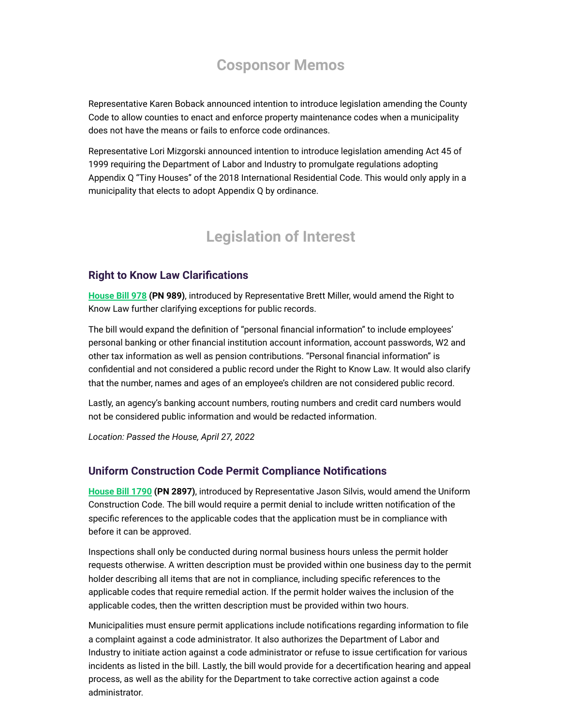## **Cosponsor Memos**

Representative Karen Boback announced intention to introduce legislation amending the County Code to allow counties to enact and enforce property maintenance codes when a municipality does not have the means or fails to enforce code ordinances.

Representative Lori Mizgorski announced intention to introduce legislation amending Act 45 of 1999 requiring the Department of Labor and Industry to promulgate regulations adopting Appendix Q "Tiny Houses" of the 2018 International Residential Code. This would only apply in a municipality that elects to adopt Appendix Q by ordinance.

## **Legislation of Interest**

#### **Right to Know Law Clarifications**

**[House](https://click.mailerlite.com/link/c/YT0xOTM5MjA4NjUzMTg1NzUwMTA5JmM9eDh4MSZiPTk2MzEwOTcxOSZkPXo1cDZ5M3g=.q_BvEu3c3BkMrHtHZmqH_ZQGoZZNkiTdELcE-R5jJyM) Bill 978 (PN 989)**, introduced by Representative Brett Miller, would amend the Right to Know Law further clarifying exceptions for public records.

The bill would expand the definition of "personal financial information" to include employees' personal banking or other financial institution account information, account passwords, W2 and other tax information as well as pension contributions. "Personal financial information" is confidential and not considered a public record under the Right to Know Law. It would also clarify that the number, names and ages of an employee's children are not considered public record.

Lastly, an agency's banking account numbers, routing numbers and credit card numbers would not be considered public information and would be redacted information.

*Location: Passed the House, April 27, 2022*

#### **Uniform Construction Code Permit Compliance Notifications**

**[House](https://click.mailerlite.com/link/c/YT0xOTM5MjA4NjUzMTg1NzUwMTA5JmM9eDh4MSZiPTk2MzEwOTcyOSZkPXYzYzFtOWk=.rzKWOcQCSf4nR6JlIkYyV-a3Rmo0A4xfchlCUCA1sQA) Bill 1790 (PN 2897)**, introduced by Representative Jason Silvis, would amend the Uniform Construction Code. The bill would require a permit denial to include written notification of the specific references to the applicable codes that the application must be in compliance with before it can be approved.

Inspections shall only be conducted during normal business hours unless the permit holder requests otherwise. A written description must be provided within one business day to the permit holder describing all items that are not in compliance, including specific references to the applicable codes that require remedial action. If the permit holder waives the inclusion of the applicable codes, then the written description must be provided within two hours.

Municipalities must ensure permit applications include notifications regarding information to file a complaint against a code administrator. It also authorizes the Department of Labor and Industry to initiate action against a code administrator or refuse to issue certification for various incidents as listed in the bill. Lastly, the bill would provide for a decertification hearing and appeal process, as well as the ability for the Department to take corrective action against a code administrator.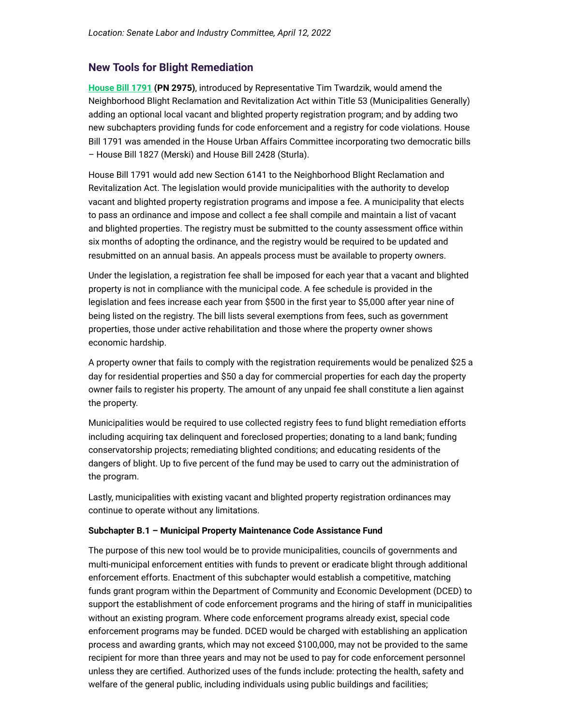#### **New Tools for Blight Remediation**

**[House](https://click.mailerlite.com/link/c/YT0xOTM5MjA4NjUzMTg1NzUwMTA5JmM9eDh4MSZiPTk2MzEwOTczMyZkPXA2bDJpOWo=.WMqlvBWWGhFlyq0tHlcL_BZ7tPuOxafQjKuelyDjH0w) Bill 1791 (PN 2975)**, introduced by Representative Tim Twardzik, would amend the Neighborhood Blight Reclamation and Revitalization Act within Title 53 (Municipalities Generally) adding an optional local vacant and blighted property registration program; and by adding two new subchapters providing funds for code enforcement and a registry for code violations. House Bill 1791 was amended in the House Urban Affairs Committee incorporating two democratic bills – House Bill 1827 (Merski) and House Bill 2428 (Sturla).

House Bill 1791 would add new Section 6141 to the Neighborhood Blight Reclamation and Revitalization Act. The legislation would provide municipalities with the authority to develop vacant and blighted property registration programs and impose a fee. A municipality that elects to pass an ordinance and impose and collect a fee shall compile and maintain a list of vacant and blighted properties. The registry must be submitted to the county assessment office within six months of adopting the ordinance, and the registry would be required to be updated and resubmitted on an annual basis. An appeals process must be available to property owners.

Under the legislation, a registration fee shall be imposed for each year that a vacant and blighted property is not in compliance with the municipal code. A fee schedule is provided in the legislation and fees increase each year from \$500 in the first year to \$5,000 after year nine of being listed on the registry. The bill lists several exemptions from fees, such as government properties, those under active rehabilitation and those where the property owner shows economic hardship.

A property owner that fails to comply with the registration requirements would be penalized \$25 a day for residential properties and \$50 a day for commercial properties for each day the property owner fails to register his property. The amount of any unpaid fee shall constitute a lien against the property.

Municipalities would be required to use collected registry fees to fund blight remediation efforts including acquiring tax delinquent and foreclosed properties; donating to a land bank; funding conservatorship projects; remediating blighted conditions; and educating residents of the dangers of blight. Up to five percent of the fund may be used to carry out the administration of the program.

Lastly, municipalities with existing vacant and blighted property registration ordinances may continue to operate without any limitations.

#### **Subchapter B.1 – Municipal Property Maintenance Code Assistance Fund**

The purpose of this new tool would be to provide municipalities, councils of governments and multi-municipal enforcement entities with funds to prevent or eradicate blight through additional enforcement efforts. Enactment of this subchapter would establish a competitive, matching funds grant program within the Department of Community and Economic Development (DCED) to support the establishment of code enforcement programs and the hiring of staff in municipalities without an existing program. Where code enforcement programs already exist, special code enforcement programs may be funded. DCED would be charged with establishing an application process and awarding grants, which may not exceed \$100,000, may not be provided to the same recipient for more than three years and may not be used to pay for code enforcement personnel unless they are certified. Authorized uses of the funds include: protecting the health, safety and welfare of the general public, including individuals using public buildings and facilities;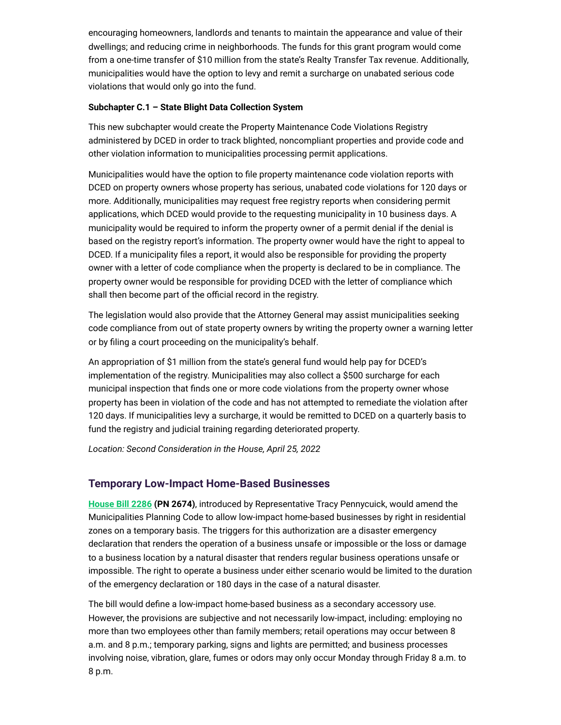encouraging homeowners, landlords and tenants to maintain the appearance and value of their dwellings; and reducing crime in neighborhoods. The funds for this grant program would come from a one-time transfer of \$10 million from the state's Realty Transfer Tax revenue. Additionally, municipalities would have the option to levy and remit a surcharge on unabated serious code violations that would only go into the fund.

#### **Subchapter C.1 – State Blight Data Collection System**

This new subchapter would create the Property Maintenance Code Violations Registry administered by DCED in order to track blighted, noncompliant properties and provide code and other violation information to municipalities processing permit applications.

Municipalities would have the option to file property maintenance code violation reports with DCED on property owners whose property has serious, unabated code violations for 120 days or more. Additionally, municipalities may request free registry reports when considering permit applications, which DCED would provide to the requesting municipality in 10 business days. A municipality would be required to inform the property owner of a permit denial if the denial is based on the registry report's information. The property owner would have the right to appeal to DCED. If a municipality files a report, it would also be responsible for providing the property owner with a letter of code compliance when the property is declared to be in compliance. The property owner would be responsible for providing DCED with the letter of compliance which shall then become part of the official record in the registry.

The legislation would also provide that the Attorney General may assist municipalities seeking code compliance from out of state property owners by writing the property owner a warning letter or by filing a court proceeding on the municipality's behalf.

An appropriation of \$1 million from the state's general fund would help pay for DCED's implementation of the registry. Municipalities may also collect a \$500 surcharge for each municipal inspection that finds one or more code violations from the property owner whose property has been in violation of the code and has not attempted to remediate the violation after 120 days. If municipalities levy a surcharge, it would be remitted to DCED on a quarterly basis to fund the registry and judicial training regarding deteriorated property.

*Location: Second Consideration in the House, April 25, 2022*

#### **Temporary Low-Impact Home-Based Businesses**

**[House](https://click.mailerlite.com/link/c/YT0xOTM5MjA4NjUzMTg1NzUwMTA5JmM9eDh4MSZiPTk2MzEwOTc0MiZkPXg3cjVzOWc=.QMvjKpQQum6XCeeIZEEgGsrBcme41VchHJWPeQ5vDPE) Bill 2286 (PN 2674)**, introduced by Representative Tracy Pennycuick, would amend the Municipalities Planning Code to allow low-impact home-based businesses by right in residential zones on a temporary basis. The triggers for this authorization are a disaster emergency declaration that renders the operation of a business unsafe or impossible or the loss or damage to a business location by a natural disaster that renders regular business operations unsafe or impossible. The right to operate a business under either scenario would be limited to the duration of the emergency declaration or 180 days in the case of a natural disaster.

The bill would define a low-impact home-based business as a secondary accessory use. However, the provisions are subjective and not necessarily low-impact, including: employing no more than two employees other than family members; retail operations may occur between 8 a.m. and 8 p.m.; temporary parking, signs and lights are permitted; and business processes involving noise, vibration, glare, fumes or odors may only occur Monday through Friday 8 a.m. to 8 p.m.